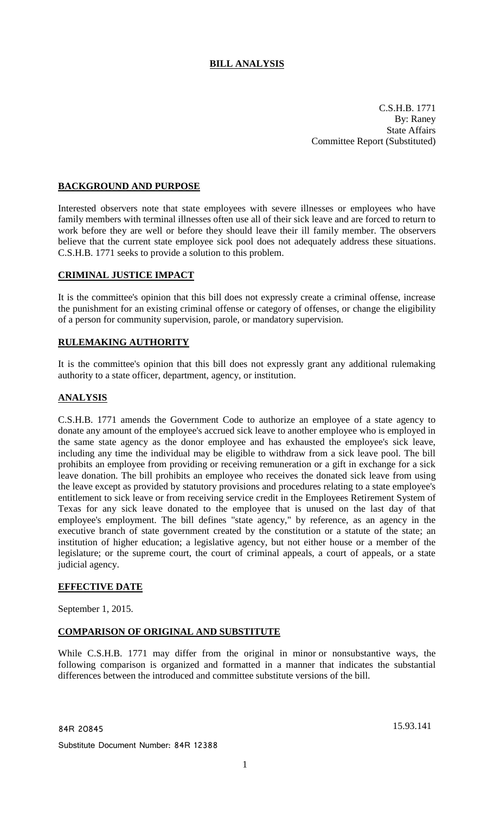# **BILL ANALYSIS**

C.S.H.B. 1771 By: Raney State Affairs Committee Report (Substituted)

## **BACKGROUND AND PURPOSE**

Interested observers note that state employees with severe illnesses or employees who have family members with terminal illnesses often use all of their sick leave and are forced to return to work before they are well or before they should leave their ill family member. The observers believe that the current state employee sick pool does not adequately address these situations. C.S.H.B. 1771 seeks to provide a solution to this problem.

### **CRIMINAL JUSTICE IMPACT**

It is the committee's opinion that this bill does not expressly create a criminal offense, increase the punishment for an existing criminal offense or category of offenses, or change the eligibility of a person for community supervision, parole, or mandatory supervision.

### **RULEMAKING AUTHORITY**

It is the committee's opinion that this bill does not expressly grant any additional rulemaking authority to a state officer, department, agency, or institution.

### **ANALYSIS**

C.S.H.B. 1771 amends the Government Code to authorize an employee of a state agency to donate any amount of the employee's accrued sick leave to another employee who is employed in the same state agency as the donor employee and has exhausted the employee's sick leave, including any time the individual may be eligible to withdraw from a sick leave pool. The bill prohibits an employee from providing or receiving remuneration or a gift in exchange for a sick leave donation. The bill prohibits an employee who receives the donated sick leave from using the leave except as provided by statutory provisions and procedures relating to a state employee's entitlement to sick leave or from receiving service credit in the Employees Retirement System of Texas for any sick leave donated to the employee that is unused on the last day of that employee's employment. The bill defines "state agency," by reference, as an agency in the executive branch of state government created by the constitution or a statute of the state; an institution of higher education; a legislative agency, but not either house or a member of the legislature; or the supreme court, the court of criminal appeals, a court of appeals, or a state judicial agency.

### **EFFECTIVE DATE**

September 1, 2015.

### **COMPARISON OF ORIGINAL AND SUBSTITUTE**

While C.S.H.B. 1771 may differ from the original in minor or nonsubstantive ways, the following comparison is organized and formatted in a manner that indicates the substantial differences between the introduced and committee substitute versions of the bill.

Substitute Document Number: 84R 12388